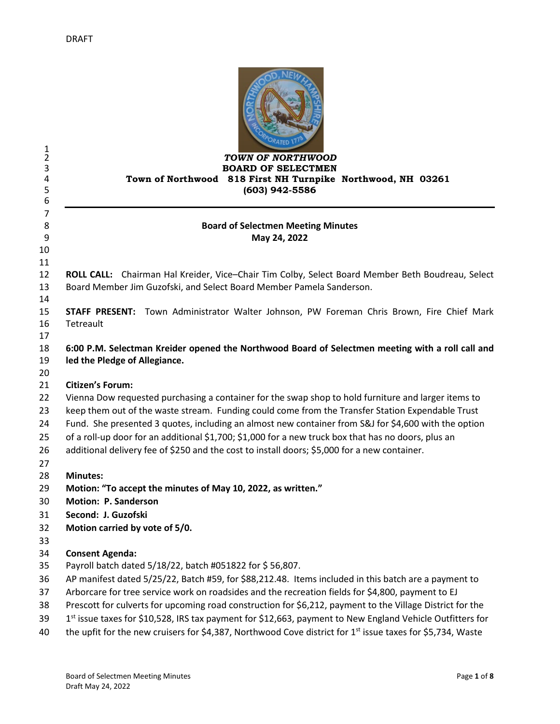| 1<br>$\overline{2}$<br>3<br>4<br>5<br>6 | TOWN OF NORTHWOOD<br><b>BOARD OF SELECTMEN</b><br>Town of Northwood 818 First NH Turnpike Northwood, NH 03261<br>(603) 942-5586                                                                                                                 |
|-----------------------------------------|-------------------------------------------------------------------------------------------------------------------------------------------------------------------------------------------------------------------------------------------------|
| 7<br>8<br>9                             | <b>Board of Selectmen Meeting Minutes</b><br>May 24, 2022                                                                                                                                                                                       |
| 10<br>11                                |                                                                                                                                                                                                                                                 |
| 12<br>13<br>14                          | ROLL CALL: Chairman Hal Kreider, Vice-Chair Tim Colby, Select Board Member Beth Boudreau, Select<br>Board Member Jim Guzofski, and Select Board Member Pamela Sanderson.                                                                        |
| 15                                      | STAFF PRESENT: Town Administrator Walter Johnson, PW Foreman Chris Brown, Fire Chief Mark                                                                                                                                                       |
| 16                                      | Tetreault                                                                                                                                                                                                                                       |
| 17<br>18<br>19<br>20                    | 6:00 P.M. Selectman Kreider opened the Northwood Board of Selectmen meeting with a roll call and<br>led the Pledge of Allegiance.                                                                                                               |
| 21                                      | <b>Citizen's Forum:</b>                                                                                                                                                                                                                         |
| 22                                      | Vienna Dow requested purchasing a container for the swap shop to hold furniture and larger items to                                                                                                                                             |
| 23                                      | keep them out of the waste stream. Funding could come from the Transfer Station Expendable Trust                                                                                                                                                |
| 24                                      | Fund. She presented 3 quotes, including an almost new container from S&J for \$4,600 with the option                                                                                                                                            |
| 25                                      | of a roll-up door for an additional \$1,700; \$1,000 for a new truck box that has no doors, plus an                                                                                                                                             |
| 26                                      | additional delivery fee of \$250 and the cost to install doors; \$5,000 for a new container.                                                                                                                                                    |
| 27<br>28                                | <b>Minutes:</b>                                                                                                                                                                                                                                 |
| 29                                      | Motion: "To accept the minutes of May 10, 2022, as written."                                                                                                                                                                                    |
| 30                                      | Motion: P. Sanderson                                                                                                                                                                                                                            |
| 31                                      | Second: J. Guzofski                                                                                                                                                                                                                             |
| 32                                      | Motion carried by vote of 5/0.                                                                                                                                                                                                                  |
| 33                                      |                                                                                                                                                                                                                                                 |
| 34                                      | <b>Consent Agenda:</b>                                                                                                                                                                                                                          |
| 35                                      | Payroll batch dated 5/18/22, batch #051822 for \$56,807.                                                                                                                                                                                        |
| 36                                      | AP manifest dated 5/25/22, Batch #59, for \$88,212.48. Items included in this batch are a payment to                                                                                                                                            |
| 37                                      | Arborcare for tree service work on roadsides and the recreation fields for \$4,800, payment to EJ                                                                                                                                               |
| 38                                      | Prescott for culverts for upcoming road construction for \$6,212, payment to the Village District for the                                                                                                                                       |
| 39<br>40                                | 1 <sup>st</sup> issue taxes for \$10,528, IRS tax payment for \$12,663, payment to New England Vehicle Outfitters for<br>the upfit for the new cruisers for \$4,387, Northwood Cove district for 1 <sup>st</sup> issue taxes for \$5,734, Waste |
|                                         |                                                                                                                                                                                                                                                 |

OD, NEW N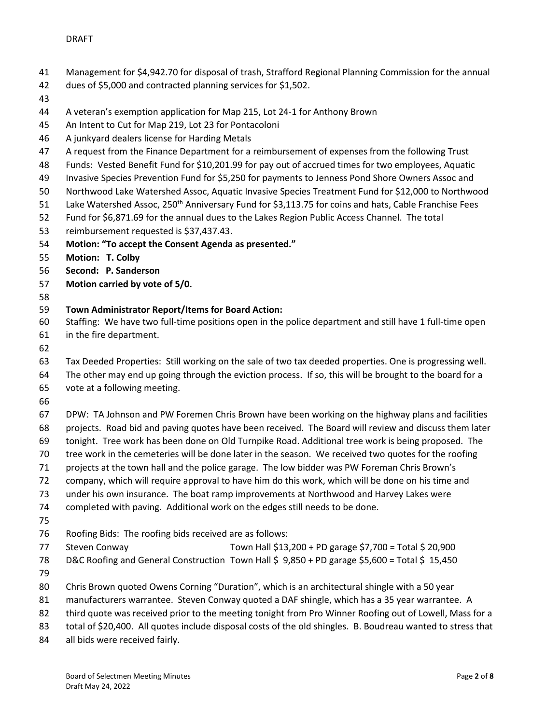- Management for \$4,942.70 for disposal of trash, Strafford Regional Planning Commission for the annual
- dues of \$5,000 and contracted planning services for \$1,502.
- 
- A veteran's exemption application for Map 215, Lot 24-1 for Anthony Brown
- An Intent to Cut for Map 219, Lot 23 for Pontacoloni
- A junkyard dealers license for Harding Metals
- A request from the Finance Department for a reimbursement of expenses from the following Trust
- Funds: Vested Benefit Fund for \$10,201.99 for pay out of accrued times for two employees, Aquatic
- Invasive Species Prevention Fund for \$5,250 for payments to Jenness Pond Shore Owners Assoc and
- Northwood Lake Watershed Assoc, Aquatic Invasive Species Treatment Fund for \$12,000 to Northwood
- 51 Lake Watershed Assoc, 250<sup>th</sup> Anniversary Fund for \$3,113.75 for coins and hats, Cable Franchise Fees
- Fund for \$6,871.69 for the annual dues to the Lakes Region Public Access Channel. The total
- reimbursement requested is \$37,437.43.
- **Motion: "To accept the Consent Agenda as presented."**
- **Motion: T. Colby**
- **Second: P. Sanderson**
- **Motion carried by vote of 5/0.**
- 

## **Town Administrator Report/Items for Board Action:**

- Staffing: We have two full-time positions open in the police department and still have 1 full-time open in the fire department.
- 

Tax Deeded Properties: Still working on the sale of two tax deeded properties. One is progressing well.

- The other may end up going through the eviction process. If so, this will be brought to the board for a vote at a following meeting.
- 

DPW: TA Johnson and PW Foremen Chris Brown have been working on the highway plans and facilities

- projects. Road bid and paving quotes have been received. The Board will review and discuss them later
- tonight. Tree work has been done on Old Turnpike Road. Additional tree work is being proposed. The
- tree work in the cemeteries will be done later in the season. We received two quotes for the roofing
- projects at the town hall and the police garage. The low bidder was PW Foreman Chris Brown's
- company, which will require approval to have him do this work, which will be done on his time and
- under his own insurance. The boat ramp improvements at Northwood and Harvey Lakes were
- completed with paving. Additional work on the edges still needs to be done.
- 
- Roofing Bids: The roofing bids received are as follows:
- Steven Conway Town Hall \$13,200 + PD garage \$7,700 = Total \$ 20,900 78 D&C Roofing and General Construction Town Hall \$ 9,850 + PD garage \$5,600 = Total \$ 15,450
- 
- Chris Brown quoted Owens Corning "Duration", which is an architectural shingle with a 50 year
- manufacturers warrantee. Steven Conway quoted a DAF shingle, which has a 35 year warrantee. A
- 82 third quote was received prior to the meeting tonight from Pro Winner Roofing out of Lowell, Mass for a
- total of \$20,400. All quotes include disposal costs of the old shingles. B. Boudreau wanted to stress that
- all bids were received fairly.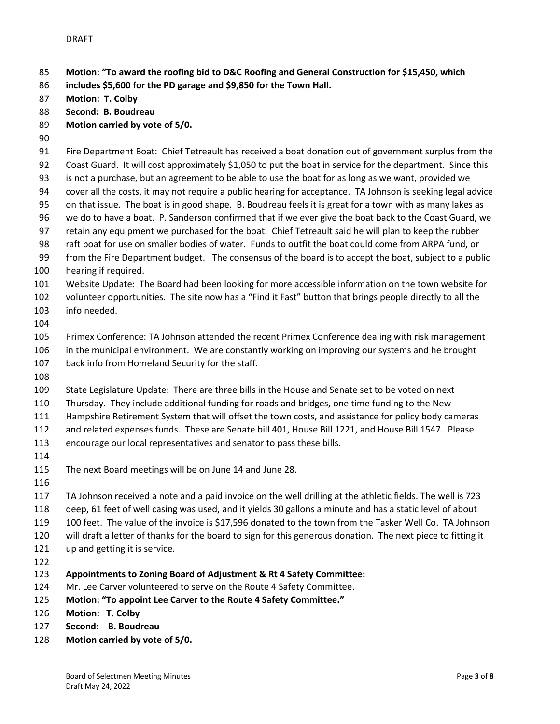**Motion: "To award the roofing bid to D&C Roofing and General Construction for \$15,450, which** 

- **includes \$5,600 for the PD garage and \$9,850 for the Town Hall.**
- **Motion: T. Colby**
- **Second: B. Boudreau**
- **Motion carried by vote of 5/0.**
- 
- Fire Department Boat: Chief Tetreault has received a boat donation out of government surplus from the Coast Guard. It will cost approximately \$1,050 to put the boat in service for the department. Since this is not a purchase, but an agreement to be able to use the boat for as long as we want, provided we cover all the costs, it may not require a public hearing for acceptance. TA Johnson is seeking legal advice on that issue. The boat is in good shape. B. Boudreau feels it is great for a town with as many lakes as we do to have a boat. P. Sanderson confirmed that if we ever give the boat back to the Coast Guard, we
- retain any equipment we purchased for the boat. Chief Tetreault said he will plan to keep the rubber
- raft boat for use on smaller bodies of water. Funds to outfit the boat could come from ARPA fund, or from the Fire Department budget. The consensus of the board is to accept the boat, subject to a public
- hearing if required.
- Website Update: The Board had been looking for more accessible information on the town website for
- volunteer opportunities. The site now has a "Find it Fast" button that brings people directly to all the info needed.
- 

 Primex Conference: TA Johnson attended the recent Primex Conference dealing with risk management in the municipal environment. We are constantly working on improving our systems and he brought back info from Homeland Security for the staff.

State Legislature Update: There are three bills in the House and Senate set to be voted on next

- Thursday. They include additional funding for roads and bridges, one time funding to the New
- Hampshire Retirement System that will offset the town costs, and assistance for policy body cameras
- and related expenses funds. These are Senate bill 401, House Bill 1221, and House Bill 1547. Please
- encourage our local representatives and senator to pass these bills.
- 
- The next Board meetings will be on June 14 and June 28.
- 

 TA Johnson received a note and a paid invoice on the well drilling at the athletic fields. The well is 723 deep, 61 feet of well casing was used, and it yields 30 gallons a minute and has a static level of about

- 
- 100 feet. The value of the invoice is \$17,596 donated to the town from the Tasker Well Co. TA Johnson
- will draft a letter of thanks for the board to sign for this generous donation. The next piece to fitting it
- up and getting it is service.
- 
- **Appointments to Zoning Board of Adjustment & Rt 4 Safety Committee:**
- Mr. Lee Carver volunteered to serve on the Route 4 Safety Committee.
- **Motion: "To appoint Lee Carver to the Route 4 Safety Committee."**
- **Motion: T. Colby**
- **Second: B. Boudreau**
- **Motion carried by vote of 5/0.**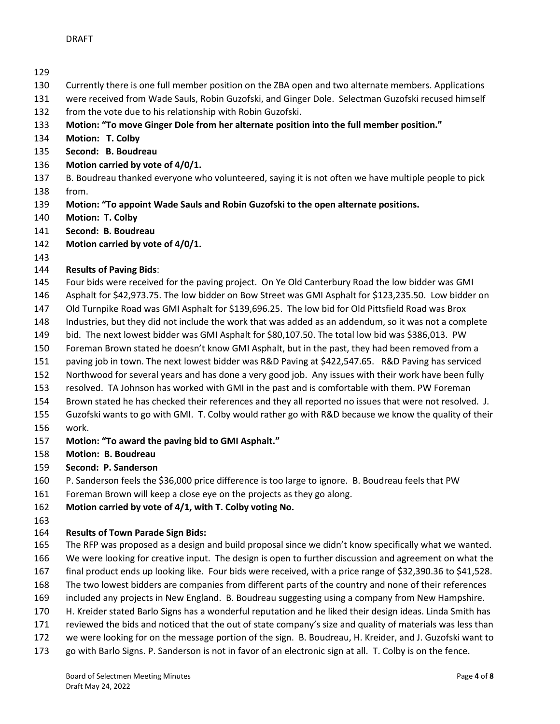- Currently there is one full member position on the ZBA open and two alternate members. Applications
- were received from Wade Sauls, Robin Guzofski, and Ginger Dole. Selectman Guzofski recused himself
- from the vote due to his relationship with Robin Guzofski.
- **Motion: "To move Ginger Dole from her alternate position into the full member position."**
- **Motion: T. Colby**
- **Second: B. Boudreau**
- **Motion carried by vote of 4/0/1.**
- B. Boudreau thanked everyone who volunteered, saying it is not often we have multiple people to pick
- from.
- **Motion: "To appoint Wade Sauls and Robin Guzofski to the open alternate positions.**
- **Motion: T. Colby**
- **Second: B. Boudreau**
- **Motion carried by vote of 4/0/1.**
- 

## **Results of Paving Bids**:

- Four bids were received for the paving project. On Ye Old Canterbury Road the low bidder was GMI
- Asphalt for \$42,973.75. The low bidder on Bow Street was GMI Asphalt for \$123,235.50. Low bidder on
- Old Turnpike Road was GMI Asphalt for \$139,696.25. The low bid for Old Pittsfield Road was Brox
- Industries, but they did not include the work that was added as an addendum, so it was not a complete
- bid. The next lowest bidder was GMI Asphalt for \$80,107.50. The total low bid was \$386,013. PW
- Foreman Brown stated he doesn't know GMI Asphalt, but in the past, they had been removed from a
- paving job in town. The next lowest bidder was R&D Paving at \$422,547.65. R&D Paving has serviced
- Northwood for several years and has done a very good job. Any issues with their work have been fully
- resolved. TA Johnson has worked with GMI in the past and is comfortable with them. PW Foreman
- Brown stated he has checked their references and they all reported no issues that were not resolved. J.
- Guzofski wants to go with GMI. T. Colby would rather go with R&D because we know the quality of their
- work.
- **Motion: "To award the paving bid to GMI Asphalt."**
- **Motion: B. Boudreau**
- **Second: P. Sanderson**
- P. Sanderson feels the \$36,000 price difference is too large to ignore. B. Boudreau feels that PW
- Foreman Brown will keep a close eye on the projects as they go along.
- **Motion carried by vote of 4/1, with T. Colby voting No.**
- 

# **Results of Town Parade Sign Bids:**

- The RFP was proposed as a design and build proposal since we didn't know specifically what we wanted.
- We were looking for creative input. The design is open to further discussion and agreement on what the final product ends up looking like. Four bids were received, with a price range of \$32,390.36 to \$41,528.
- The two lowest bidders are companies from different parts of the country and none of their references
- included any projects in New England. B. Boudreau suggesting using a company from New Hampshire.
- 
- H. Kreider stated Barlo Signs has a wonderful reputation and he liked their design ideas. Linda Smith has reviewed the bids and noticed that the out of state company's size and quality of materials was less than
- we were looking for on the message portion of the sign. B. Boudreau, H. Kreider, and J. Guzofski want to
- go with Barlo Signs. P. Sanderson is not in favor of an electronic sign at all. T. Colby is on the fence.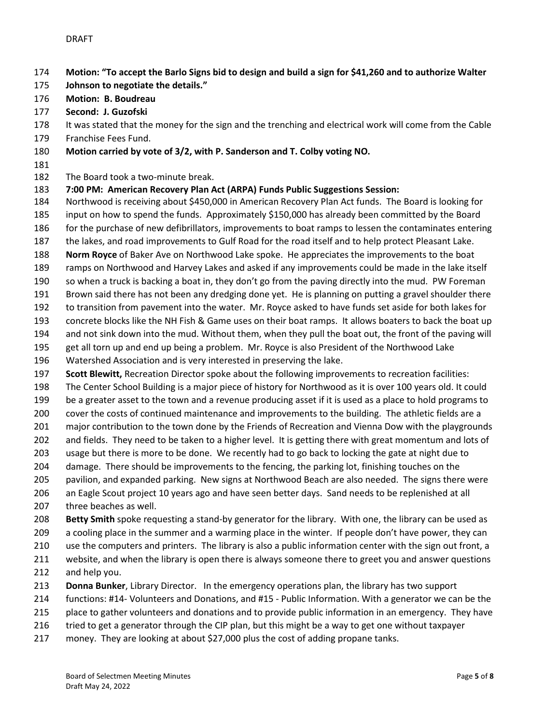- **Motion: "To accept the Barlo Signs bid to design and build a sign for \$41,260 and to authorize Walter**
- **Johnson to negotiate the details."**
- **Motion: B. Boudreau**
- **Second: J. Guzofski**
- It was stated that the money for the sign and the trenching and electrical work will come from the Cable
- Franchise Fees Fund.
- **Motion carried by vote of 3/2, with P. Sanderson and T. Colby voting NO.**
- 
- The Board took a two-minute break.
- **7:00 PM: American Recovery Plan Act (ARPA) Funds Public Suggestions Session:**
- Northwood is receiving about \$450,000 in American Recovery Plan Act funds. The Board is looking for
- input on how to spend the funds. Approximately \$150,000 has already been committed by the Board
- for the purchase of new defibrillators, improvements to boat ramps to lessen the contaminates entering
- the lakes, and road improvements to Gulf Road for the road itself and to help protect Pleasant Lake.
- **Norm Royce** of Baker Ave on Northwood Lake spoke. He appreciates the improvements to the boat
- ramps on Northwood and Harvey Lakes and asked if any improvements could be made in the lake itself
- so when a truck is backing a boat in, they don't go from the paving directly into the mud. PW Foreman
- Brown said there has not been any dredging done yet. He is planning on putting a gravel shoulder there
- to transition from pavement into the water. Mr. Royce asked to have funds set aside for both lakes for
- concrete blocks like the NH Fish & Game uses on their boat ramps. It allows boaters to back the boat up
- and not sink down into the mud. Without them, when they pull the boat out, the front of the paving will
- get all torn up and end up being a problem. Mr. Royce is also President of the Northwood Lake
- Watershed Association and is very interested in preserving the lake.
- **Scott Blewitt,** Recreation Director spoke about the following improvements to recreation facilities:
- The Center School Building is a major piece of history for Northwood as it is over 100 years old. It could
- be a greater asset to the town and a revenue producing asset if it is used as a place to hold programs to
- cover the costs of continued maintenance and improvements to the building. The athletic fields are a
- 201 major contribution to the town done by the Friends of Recreation and Vienna Dow with the playgrounds
- and fields. They need to be taken to a higher level. It is getting there with great momentum and lots of
- usage but there is more to be done. We recently had to go back to locking the gate at night due to
- damage. There should be improvements to the fencing, the parking lot, finishing touches on the
- pavilion, and expanded parking. New signs at Northwood Beach are also needed. The signs there were
- an Eagle Scout project 10 years ago and have seen better days. Sand needs to be replenished at all three beaches as well.
- **Betty Smith** spoke requesting a stand-by generator for the library. With one, the library can be used as
- a cooling place in the summer and a warming place in the winter. If people don't have power, they can
- use the computers and printers. The library is also a public information center with the sign out front, a
- website, and when the library is open there is always someone there to greet you and answer questions and help you.
- **Donna Bunker**, Library Director. In the emergency operations plan, the library has two support
- functions: #14- Volunteers and Donations, and #15 Public Information. With a generator we can be the
- 215 place to gather volunteers and donations and to provide public information in an emergency. They have
- tried to get a generator through the CIP plan, but this might be a way to get one without taxpayer
- money. They are looking at about \$27,000 plus the cost of adding propane tanks.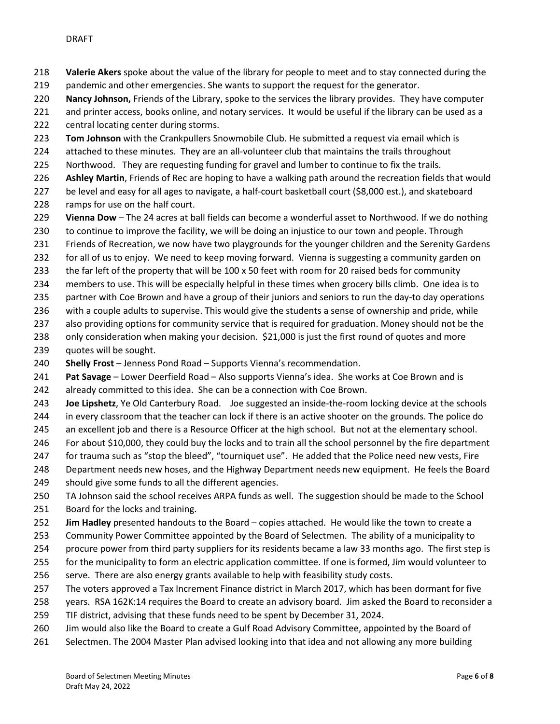**Valerie Akers** spoke about the value of the library for people to meet and to stay connected during the

- 219 pandemic and other emergencies. She wants to support the request for the generator.
- **Nancy Johnson,** Friends of the Library, spoke to the services the library provides. They have computer
- and printer access, books online, and notary services. It would be useful if the library can be used as a
- central locating center during storms.
- **Tom Johnson** with the Crankpullers Snowmobile Club. He submitted a request via email which is
- attached to these minutes. They are an all-volunteer club that maintains the trails throughout
- Northwood. They are requesting funding for gravel and lumber to continue to fix the trails.
- **Ashley Martin**, Friends of Rec are hoping to have a walking path around the recreation fields that would
- be level and easy for all ages to navigate, a half-court basketball court (\$8,000 est.), and skateboard ramps for use on the half court.
- **Vienna Dow** The 24 acres at ball fields can become a wonderful asset to Northwood. If we do nothing
- to continue to improve the facility, we will be doing an injustice to our town and people. Through
- Friends of Recreation, we now have two playgrounds for the younger children and the Serenity Gardens
- for all of us to enjoy. We need to keep moving forward. Vienna is suggesting a community garden on
- 233 the far left of the property that will be 100 x 50 feet with room for 20 raised beds for community
- members to use. This will be especially helpful in these times when grocery bills climb. One idea is to
- 235 partner with Coe Brown and have a group of their juniors and seniors to run the day-to day operations
- with a couple adults to supervise. This would give the students a sense of ownership and pride, while
- also providing options for community service that is required for graduation. Money should not be the
- only consideration when making your decision. \$21,000 is just the first round of quotes and more
- quotes will be sought.
- **Shelly Frost** Jenness Pond Road Supports Vienna's recommendation.
- **Pat Savage** Lower Deerfield Road Also supports Vienna's idea. She works at Coe Brown and is
- already committed to this idea. She can be a connection with Coe Brown.
- **Joe Lipshetz**, Ye Old Canterbury Road. Joe suggested an inside-the-room locking device at the schools
- in every classroom that the teacher can lock if there is an active shooter on the grounds. The police do
- 245 an excellent job and there is a Resource Officer at the high school. But not at the elementary school.
- For about \$10,000, they could buy the locks and to train all the school personnel by the fire department
- for trauma such as "stop the bleed", "tourniquet use". He added that the Police need new vests, Fire
- Department needs new hoses, and the Highway Department needs new equipment. He feels the Board
- should give some funds to all the different agencies.
- TA Johnson said the school receives ARPA funds as well. The suggestion should be made to the School
- Board for the locks and training.
- **Jim Hadley** presented handouts to the Board copies attached. He would like the town to create a
- Community Power Committee appointed by the Board of Selectmen. The ability of a municipality to
- procure power from third party suppliers for its residents became a law 33 months ago. The first step is
- for the municipality to form an electric application committee. If one is formed, Jim would volunteer to
- serve. There are also energy grants available to help with feasibility study costs.
- The voters approved a Tax Increment Finance district in March 2017, which has been dormant for five
- years. RSA 162K:14 requires the Board to create an advisory board. Jim asked the Board to reconsider a
- TIF district, advising that these funds need to be spent by December 31, 2024.
- Jim would also like the Board to create a Gulf Road Advisory Committee, appointed by the Board of
- Selectmen. The 2004 Master Plan advised looking into that idea and not allowing any more building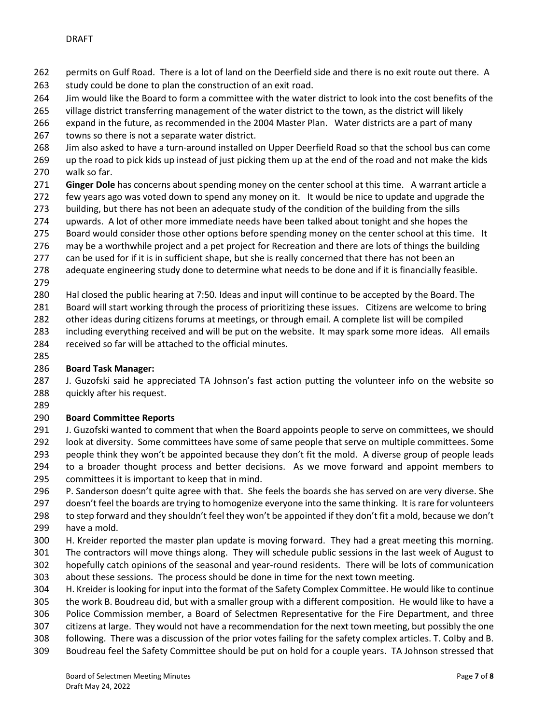- permits on Gulf Road. There is a lot of land on the Deerfield side and there is no exit route out there. A
- 263 study could be done to plan the construction of an exit road.
- Jim would like the Board to form a committee with the water district to look into the cost benefits of the
- village district transferring management of the water district to the town, as the district will likely
- expand in the future, as recommended in the 2004 Master Plan. Water districts are a part of many
- towns so there is not a separate water district.
- Jim also asked to have a turn-around installed on Upper Deerfield Road so that the school bus can come
- up the road to pick kids up instead of just picking them up at the end of the road and not make the kids walk so far.
- **Ginger Dole** has concerns about spending money on the center school at this time. A warrant article a
- few years ago was voted down to spend any money on it. It would be nice to update and upgrade the
- building, but there has not been an adequate study of the condition of the building from the sills
- upwards. A lot of other more immediate needs have been talked about tonight and she hopes the
- 275 Board would consider those other options before spending money on the center school at this time. It
- 276 may be a worthwhile project and a pet project for Recreation and there are lots of things the building
- 277 can be used for if it is in sufficient shape, but she is really concerned that there has not been an
- adequate engineering study done to determine what needs to be done and if it is financially feasible.
- Hal closed the public hearing at 7:50. Ideas and input will continue to be accepted by the Board. The
- Board will start working through the process of prioritizing these issues. Citizens are welcome to bring
- other ideas during citizens forums at meetings, or through email. A complete list will be compiled
- including everything received and will be put on the website. It may spark some more ideas. All emails
- 284 received so far will be attached to the official minutes.
- 

## **Board Task Manager:**

 J. Guzofski said he appreciated TA Johnson's fast action putting the volunteer info on the website so quickly after his request.

## **Board Committee Reports**

- J. Guzofski wanted to comment that when the Board appoints people to serve on committees, we should look at diversity. Some committees have some of same people that serve on multiple committees. Some people think they won't be appointed because they don't fit the mold. A diverse group of people leads to a broader thought process and better decisions. As we move forward and appoint members to committees it is important to keep that in mind.
- P. Sanderson doesn't quite agree with that. She feels the boards she has served on are very diverse. She doesn't feel the boards are trying to homogenize everyone into the same thinking. It is rare for volunteers to step forward and they shouldn't feel they won't be appointed if they don't fit a mold, because we don't
- have a mold.
- H. Kreider reported the master plan update is moving forward. They had a great meeting this morning.
- The contractors will move things along. They will schedule public sessions in the last week of August to hopefully catch opinions of the seasonal and year-round residents. There will be lots of communication
- about these sessions. The process should be done in time for the next town meeting.
- H. Kreider is looking for input into the format of the Safety Complex Committee. He would like to continue the work B. Boudreau did, but with a smaller group with a different composition. He would like to have a Police Commission member, a Board of Selectmen Representative for the Fire Department, and three
- citizens at large. They would not have a recommendation for the next town meeting, but possibly the one
- following. There was a discussion of the prior votes failing for the safety complex articles. T. Colby and B.
- Boudreau feel the Safety Committee should be put on hold for a couple years. TA Johnson stressed that